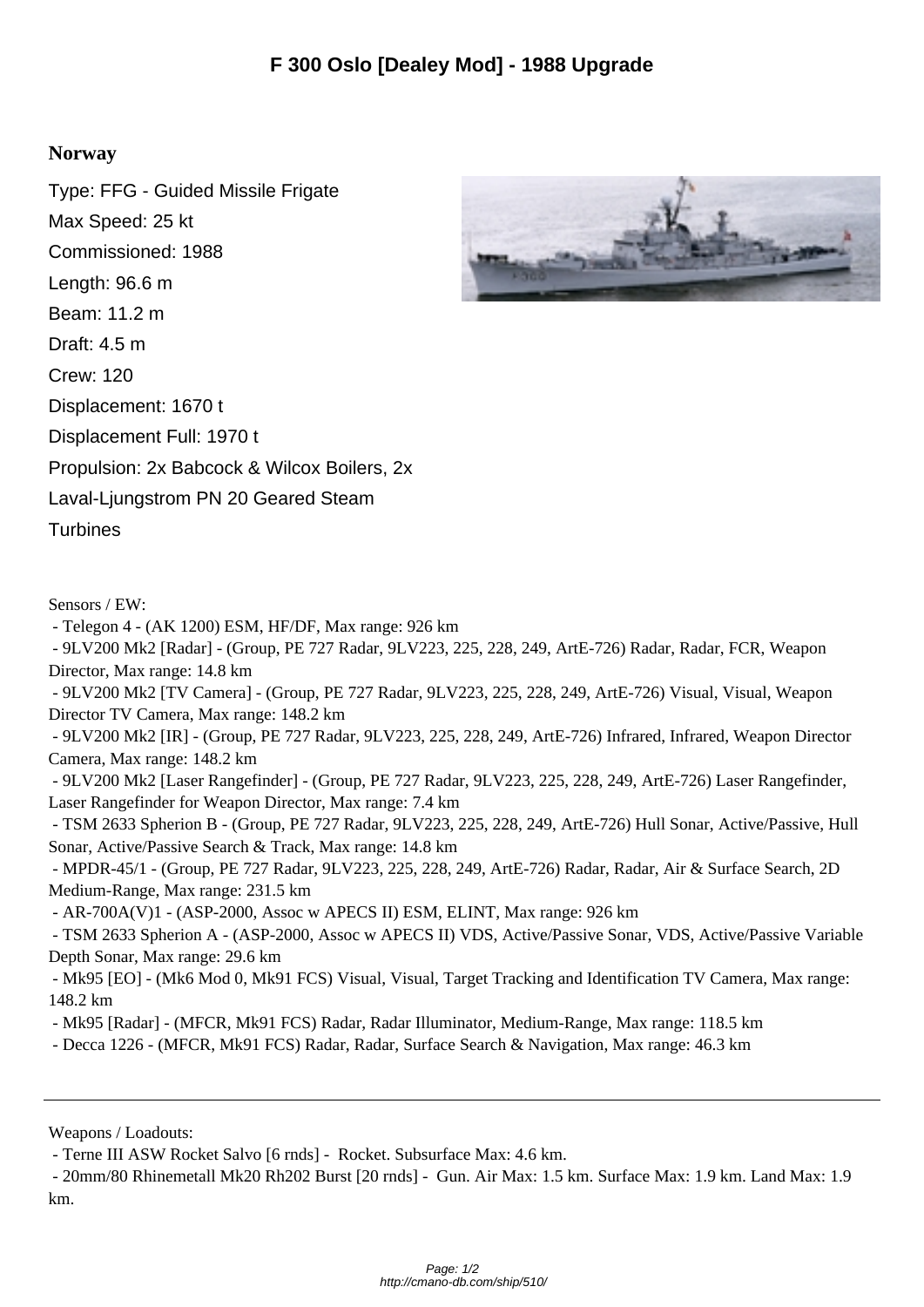## **Norway**

Type: FFG - Guided Missile Frigate Max Speed: 25 kt Commissioned: 1988 Length: 96.6 m Beam: 11.2 m Draft: 4.5 m Crew: 120 Displacement: 1670 t Displacement Full: 1970 t Propulsion: 2x Babcock & Wilcox Boilers, 2x Laval-Ljungstrom PN 20 Geared Steam **Turbines** 

Sensors / EW:

- Telegon 4 - (AK 1200) ESM, HF/DF, Max range: 926 km

 - 9LV200 Mk2 [Radar] - (Group, PE 727 Radar, 9LV223, 225, 228, 249, ArtE-726) Radar, Radar, FCR, Weapon Director, Max range: 14.8 km

 - 9LV200 Mk2 [TV Camera] - (Group, PE 727 Radar, 9LV223, 225, 228, 249, ArtE-726) Visual, Visual, Weapon Director TV Camera, Max range: 148.2 km

 - 9LV200 Mk2 [IR] - (Group, PE 727 Radar, 9LV223, 225, 228, 249, ArtE-726) Infrared, Infrared, Weapon Director Camera, Max range: 148.2 km

 - 9LV200 Mk2 [Laser Rangefinder] - (Group, PE 727 Radar, 9LV223, 225, 228, 249, ArtE-726) Laser Rangefinder, Laser Rangefinder for Weapon Director, Max range: 7.4 km

 - TSM 2633 Spherion B - (Group, PE 727 Radar, 9LV223, 225, 228, 249, ArtE-726) Hull Sonar, Active/Passive, Hull Sonar, Active/Passive Search & Track, Max range: 14.8 km

 - MPDR-45/1 - (Group, PE 727 Radar, 9LV223, 225, 228, 249, ArtE-726) Radar, Radar, Air & Surface Search, 2D Medium-Range, Max range: 231.5 km

- AR-700A(V)1 - (ASP-2000, Assoc w APECS II) ESM, ELINT, Max range: 926 km

 - TSM 2633 Spherion A - (ASP-2000, Assoc w APECS II) VDS, Active/Passive Sonar, VDS, Active/Passive Variable Depth Sonar, Max range: 29.6 km

 - Mk95 [EO] - (Mk6 Mod 0, Mk91 FCS) Visual, Visual, Target Tracking and Identification TV Camera, Max range: 148.2 km

- Mk95 [Radar] - (MFCR, Mk91 FCS) Radar, Radar Illuminator, Medium-Range, Max range: 118.5 km

- Decca 1226 - (MFCR, Mk91 FCS) Radar, Radar, Surface Search & Navigation, Max range: 46.3 km

Weapons / Loadouts:

- Terne III ASW Rocket Salvo [6 rnds] - Rocket. Subsurface Max: 4.6 km.

 - 20mm/80 Rhinemetall Mk20 Rh202 Burst [20 rnds] - Gun. Air Max: 1.5 km. Surface Max: 1.9 km. Land Max: 1.9 km.